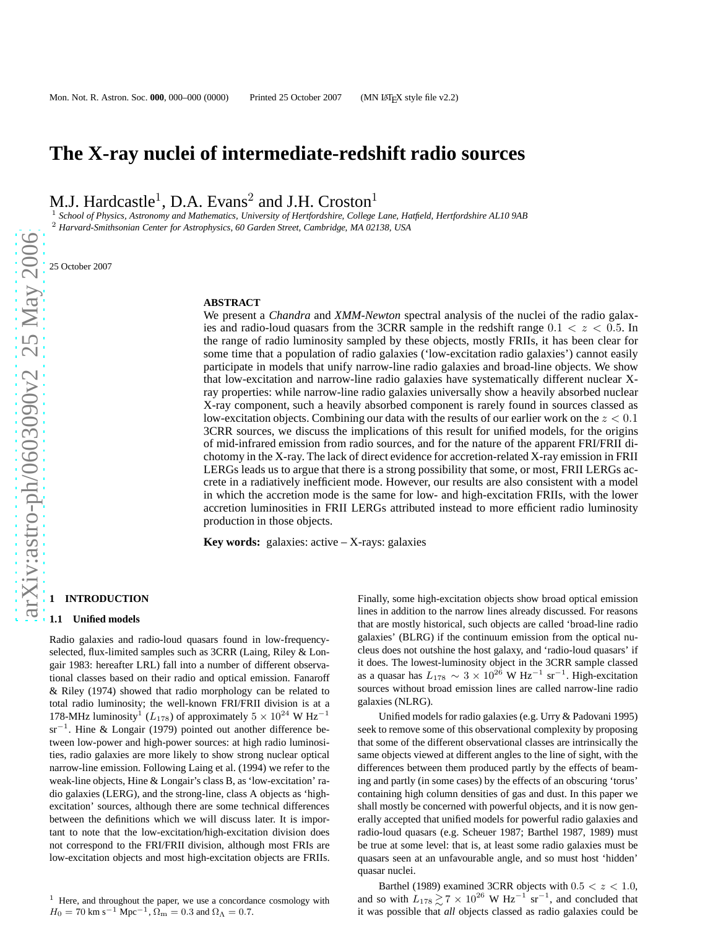# **The X-ray nuclei of intermediate-redshift radio sources**

M.J. Hardcastle<sup>1</sup>, D.A. Evans<sup>2</sup> and J.H. Croston<sup>1</sup>

<sup>1</sup> *School of Physics, Astronomy and Mathematics, University of Hertfordshire, College Lane, Hatfield, Hertfordshire AL10 9AB* <sup>2</sup> *Harvard-Smithsonian Center for Astrophysics, 60 Garden Street, Cambridge, MA 02138, USA*

25 October 2007

#### **ABSTRACT**

We present a *Chandra* and *XMM-Newton* spectral analysis of the nuclei of the radio galaxies and radio-loud quasars from the 3CRR sample in the redshift range  $0.1 < z < 0.5$ . In the range of radio luminosity sampled by these objects, mostly FRIIs, it has been clear for some time that a population of radio galaxies ('low-excitation radio galaxies') cannot easily participate in models that unify narrow-line radio galaxies and broad-line objects. We show that low-excitation and narrow-line radio galaxies have systematically different nuclear Xray properties: while narrow-line radio galaxies universally show a heavily absorbed nuclear X-ray component, such a heavily absorbed component is rarely found in sources classed as low-excitation objects. Combining our data with the results of our earlier work on the  $z < 0.1$ 3CRR sources, we discuss the implications of this result for unified models, for the origins of mid-infrared emission from radio sources, and for the nature of the apparent FRI/FRII dichotomy in the X-ray. The lack of direct evidence for accretion-related X-ray emission in FRII LERGs leads us to argue that there is a strong possibility that some, or most, FRII LERGs accrete in a radiatively inefficient mode. However, our results are also consistent with a model in which the accretion mode is the same for low- and high-excitation FRIIs, with the lower accretion luminosities in FRII LERGs attributed instead to more efficient radio luminosity production in those objects.

**Key words:** galaxies: active – X-rays: galaxies

# **1 INTRODUCTION**

#### **1.1 Unified models**

Radio galaxies and radio-loud quasars found in low-frequencyselected, flux-limited samples such as 3CRR (Laing, Riley & Longair 1983: hereafter LRL) fall into a number of different observational classes based on their radio and optical emission. Fanaroff & Riley (1974) showed that radio morphology can be related to total radio luminosity; the well-known FRI/FRII division is at a 178-MHz luminosity<sup>1</sup> ( $L_{178}$ ) of approximately  $5 \times 10^{24}$  W Hz<sup>-1</sup> sr<sup>-1</sup>. Hine & Longair (1979) pointed out another difference between low-power and high-power sources: at high radio luminosities, radio galaxies are more likely to show strong nuclear optical narrow-line emission. Following Laing et al. (1994) we refer to the weak-line objects, Hine & Longair's class B, as 'low-excitation' radio galaxies (LERG), and the strong-line, class A objects as 'highexcitation' sources, although there are some technical differences between the definitions which we will discuss later. It is important to note that the low-excitation/high-excitation division does not correspond to the FRI/FRII division, although most FRIs are low-excitation objects and most high-excitation objects are FRIIs.

Finally, some high-excitation objects show broad optical emission lines in addition to the narrow lines already discussed. For reasons that are mostly historical, such objects are called 'broad-line radio galaxies' (BLRG) if the continuum emission from the optical nucleus does not outshine the host galaxy, and 'radio-loud quasars' if it does. The lowest-luminosity object in the 3CRR sample classed as a quasar has  $L_{178} \sim 3 \times 10^{26}$  W Hz<sup>-1</sup> sr<sup>-1</sup>. High-excitation sources without broad emission lines are called narrow-line radio galaxies (NLRG).

Unified models for radio galaxies (e.g. Urry & Padovani 1995) seek to remove some of this observational complexity by proposing that some of the different observational classes are intrinsically the same objects viewed at different angles to the line of sight, with the differences between them produced partly by the effects of beaming and partly (in some cases) by the effects of an obscuring 'torus' containing high column densities of gas and dust. In this paper we shall mostly be concerned with powerful objects, and it is now generally accepted that unified models for powerful radio galaxies and radio-loud quasars (e.g. Scheuer 1987; Barthel 1987, 1989) must be true at some level: that is, at least some radio galaxies must be quasars seen at an unfavourable angle, and so must host 'hidden' quasar nuclei.

Barthel (1989) examined 3CRR objects with  $0.5 < z < 1.0$ , and so with  $L_{178} \ge 7 \times 10^{26}$  W Hz<sup>-1</sup> sr<sup>-1</sup>, and concluded that it was possible that *all* objects classed as radio galaxies could be

<sup>&</sup>lt;sup>1</sup> Here, and throughout the paper, we use a concordance cosmology with  $H_0 = 70$  km s<sup>-1</sup> Mpc<sup>-1</sup>,  $\Omega_{\rm m} = 0.3$  and  $\Omega_{\Lambda} = 0.7$ .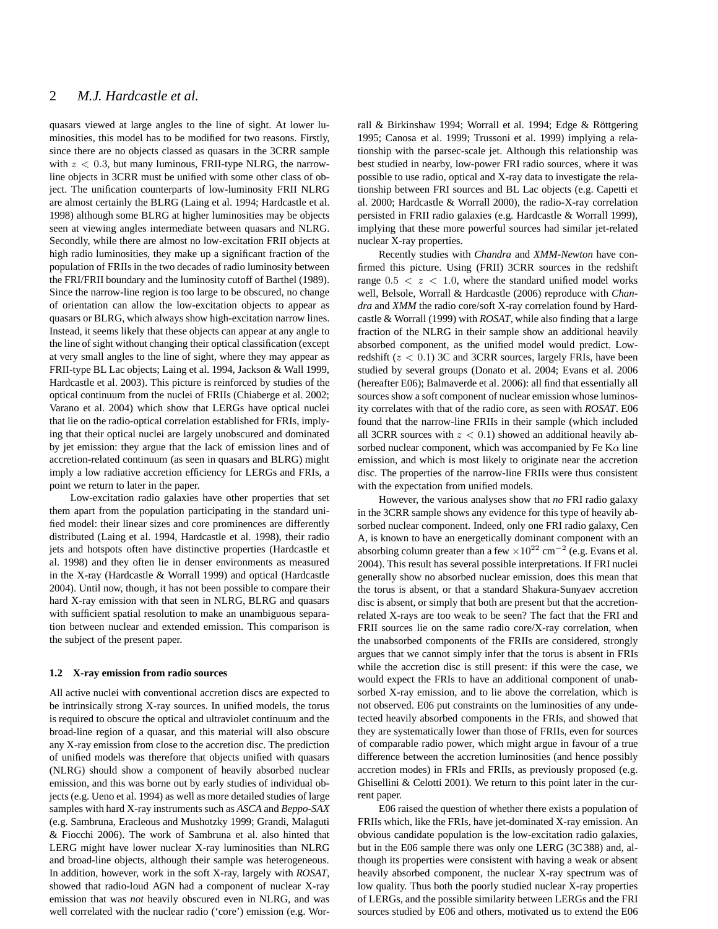# 2 *M.J. Hardcastle et al.*

quasars viewed at large angles to the line of sight. At lower luminosities, this model has to be modified for two reasons. Firstly, since there are no objects classed as quasars in the 3CRR sample with  $z < 0.3$ , but many luminous, FRII-type NLRG, the narrowline objects in 3CRR must be unified with some other class of object. The unification counterparts of low-luminosity FRII NLRG are almost certainly the BLRG (Laing et al. 1994; Hardcastle et al. 1998) although some BLRG at higher luminosities may be objects seen at viewing angles intermediate between quasars and NLRG. Secondly, while there are almost no low-excitation FRII objects at high radio luminosities, they make up a significant fraction of the population of FRIIs in the two decades of radio luminosity between the FRI/FRII boundary and the luminosity cutoff of Barthel (1989). Since the narrow-line region is too large to be obscured, no change of orientation can allow the low-excitation objects to appear as quasars or BLRG, which always show high-excitation narrow lines. Instead, it seems likely that these objects can appear at any angle to the line of sight without changing their optical classification (except at very small angles to the line of sight, where they may appear as FRII-type BL Lac objects; Laing et al. 1994, Jackson & Wall 1999, Hardcastle et al. 2003). This picture is reinforced by studies of the optical continuum from the nuclei of FRIIs (Chiaberge et al. 2002; Varano et al. 2004) which show that LERGs have optical nuclei that lie on the radio-optical correlation established for FRIs, implying that their optical nuclei are largely unobscured and dominated by jet emission: they argue that the lack of emission lines and of accretion-related continuum (as seen in quasars and BLRG) might imply a low radiative accretion efficiency for LERGs and FRIs, a point we return to later in the paper.

Low-excitation radio galaxies have other properties that set them apart from the population participating in the standard unified model: their linear sizes and core prominences are differently distributed (Laing et al. 1994, Hardcastle et al. 1998), their radio jets and hotspots often have distinctive properties (Hardcastle et al. 1998) and they often lie in denser environments as measured in the X-ray (Hardcastle & Worrall 1999) and optical (Hardcastle 2004). Until now, though, it has not been possible to compare their hard X-ray emission with that seen in NLRG, BLRG and quasars with sufficient spatial resolution to make an unambiguous separation between nuclear and extended emission. This comparison is the subject of the present paper.

#### **1.2 X-ray emission from radio sources**

All active nuclei with conventional accretion discs are expected to be intrinsically strong X-ray sources. In unified models, the torus is required to obscure the optical and ultraviolet continuum and the broad-line region of a quasar, and this material will also obscure any X-ray emission from close to the accretion disc. The prediction of unified models was therefore that objects unified with quasars (NLRG) should show a component of heavily absorbed nuclear emission, and this was borne out by early studies of individual objects (e.g. Ueno et al. 1994) as well as more detailed studies of large samples with hard X-ray instruments such as *ASCA* and *Beppo-SAX* (e.g. Sambruna, Eracleous and Mushotzky 1999; Grandi, Malaguti & Fiocchi 2006). The work of Sambruna et al. also hinted that LERG might have lower nuclear X-ray luminosities than NLRG and broad-line objects, although their sample was heterogeneous. In addition, however, work in the soft X-ray, largely with *ROSAT*, showed that radio-loud AGN had a component of nuclear X-ray emission that was *not* heavily obscured even in NLRG, and was well correlated with the nuclear radio ('core') emission (e.g. Wor-

rall & Birkinshaw 1994; Worrall et al. 1994; Edge & Röttgering 1995; Canosa et al. 1999; Trussoni et al. 1999) implying a relationship with the parsec-scale jet. Although this relationship was best studied in nearby, low-power FRI radio sources, where it was possible to use radio, optical and X-ray data to investigate the relationship between FRI sources and BL Lac objects (e.g. Capetti et al. 2000; Hardcastle & Worrall 2000), the radio-X-ray correlation persisted in FRII radio galaxies (e.g. Hardcastle & Worrall 1999), implying that these more powerful sources had similar jet-related nuclear X-ray properties.

Recently studies with *Chandra* and *XMM-Newton* have confirmed this picture. Using (FRII) 3CRR sources in the redshift range  $0.5 < z < 1.0$ , where the standard unified model works well, Belsole, Worrall & Hardcastle (2006) reproduce with *Chandra* and *XMM* the radio core/soft X-ray correlation found by Hardcastle & Worrall (1999) with *ROSAT*, while also finding that a large fraction of the NLRG in their sample show an additional heavily absorbed component, as the unified model would predict. Lowredshift  $(z < 0.1)$  3C and 3CRR sources, largely FRIs, have been studied by several groups (Donato et al. 2004; Evans et al. 2006 (hereafter E06); Balmaverde et al. 2006): all find that essentially all sources show a soft component of nuclear emission whose luminosity correlates with that of the radio core, as seen with *ROSAT*. E06 found that the narrow-line FRIIs in their sample (which included all 3CRR sources with  $z < 0.1$ ) showed an additional heavily absorbed nuclear component, which was accompanied by Fe K $\alpha$  line emission, and which is most likely to originate near the accretion disc. The properties of the narrow-line FRIIs were thus consistent with the expectation from unified models.

However, the various analyses show that *no* FRI radio galaxy in the 3CRR sample shows any evidence for this type of heavily absorbed nuclear component. Indeed, only one FRI radio galaxy, Cen A, is known to have an energetically dominant component with an absorbing column greater than a few  $\times 10^{22}$  cm<sup>-2</sup> (e.g. Evans et al. 2004). This result has several possible interpretations. If FRI nuclei generally show no absorbed nuclear emission, does this mean that the torus is absent, or that a standard Shakura-Sunyaev accretion disc is absent, or simply that both are present but that the accretionrelated X-rays are too weak to be seen? The fact that the FRI and FRII sources lie on the same radio core/X-ray correlation, when the unabsorbed components of the FRIIs are considered, strongly argues that we cannot simply infer that the torus is absent in FRIs while the accretion disc is still present: if this were the case, we would expect the FRIs to have an additional component of unabsorbed X-ray emission, and to lie above the correlation, which is not observed. E06 put constraints on the luminosities of any undetected heavily absorbed components in the FRIs, and showed that they are systematically lower than those of FRIIs, even for sources of comparable radio power, which might argue in favour of a true difference between the accretion luminosities (and hence possibly accretion modes) in FRIs and FRIIs, as previously proposed (e.g. Ghisellini & Celotti 2001). We return to this point later in the current paper.

E06 raised the question of whether there exists a population of FRIIs which, like the FRIs, have jet-dominated X-ray emission. An obvious candidate population is the low-excitation radio galaxies, but in the E06 sample there was only one LERG (3C 388) and, although its properties were consistent with having a weak or absent heavily absorbed component, the nuclear X-ray spectrum was of low quality. Thus both the poorly studied nuclear X-ray properties of LERGs, and the possible similarity between LERGs and the FRI sources studied by E06 and others, motivated us to extend the E06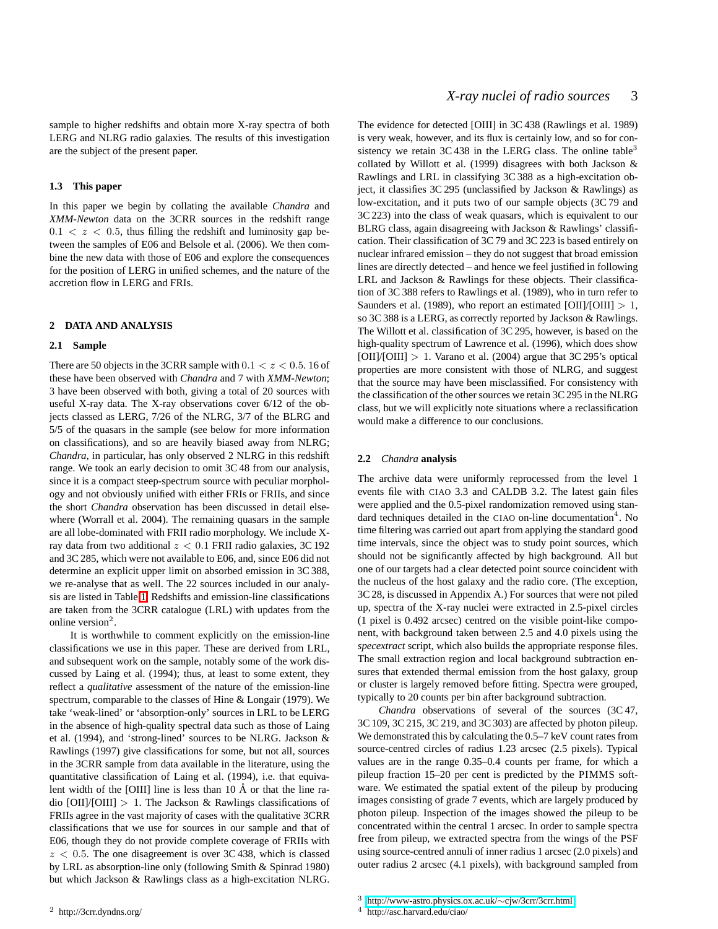sample to higher redshifts and obtain more X-ray spectra of both LERG and NLRG radio galaxies. The results of this investigation are the subject of the present paper.

#### **1.3 This paper**

In this paper we begin by collating the available *Chandra* and *XMM-Newton* data on the 3CRR sources in the redshift range  $0.1 < z < 0.5$ , thus filling the redshift and luminosity gap between the samples of E06 and Belsole et al. (2006). We then combine the new data with those of E06 and explore the consequences for the position of LERG in unified schemes, and the nature of the accretion flow in LERG and FRIs.

## <span id="page-2-0"></span>**2 DATA AND ANALYSIS**

#### **2.1 Sample**

There are 50 objects in the 3CRR sample with  $0.1 < z < 0.5$ . 16 of these have been observed with *Chandra* and 7 with *XMM-Newton*; 3 have been observed with both, giving a total of 20 sources with useful X-ray data. The X-ray observations cover 6/12 of the objects classed as LERG, 7/26 of the NLRG, 3/7 of the BLRG and 5/5 of the quasars in the sample (see below for more information on classifications), and so are heavily biased away from NLRG; *Chandra*, in particular, has only observed 2 NLRG in this redshift range. We took an early decision to omit 3C 48 from our analysis, since it is a compact steep-spectrum source with peculiar morphology and not obviously unified with either FRIs or FRIIs, and since the short *Chandra* observation has been discussed in detail elsewhere (Worrall et al. 2004). The remaining quasars in the sample are all lobe-dominated with FRII radio morphology. We include Xray data from two additional  $z < 0.1$  FRII radio galaxies, 3C 192 and 3C 285, which were not available to E06, and, since E06 did not determine an explicit upper limit on absorbed emission in 3C 388, we re-analyse that as well. The 22 sources included in our analysis are listed in Table [1.](#page-3-0) Redshifts and emission-line classifications are taken from the 3CRR catalogue (LRL) with updates from the online version $2$ .

It is worthwhile to comment explicitly on the emission-line classifications we use in this paper. These are derived from LRL, and subsequent work on the sample, notably some of the work discussed by Laing et al. (1994); thus, at least to some extent, they reflect a *qualitative* assessment of the nature of the emission-line spectrum, comparable to the classes of Hine & Longair (1979). We take 'weak-lined' or 'absorption-only' sources in LRL to be LERG in the absence of high-quality spectral data such as those of Laing et al. (1994), and 'strong-lined' sources to be NLRG. Jackson & Rawlings (1997) give classifications for some, but not all, sources in the 3CRR sample from data available in the literature, using the quantitative classification of Laing et al. (1994), i.e. that equivalent width of the [OIII] line is less than  $10 \text{ Å}$  or that the line radio  $[OII]/[OIII] > 1$ . The Jackson & Rawlings classifications of FRIIs agree in the vast majority of cases with the qualitative 3CRR classifications that we use for sources in our sample and that of E06, though they do not provide complete coverage of FRIIs with  $z < 0.5$ . The one disagreement is over 3C 438, which is classed by LRL as absorption-line only (following Smith & Spinrad 1980) but which Jackson & Rawlings class as a high-excitation NLRG. The evidence for detected [OIII] in 3C 438 (Rawlings et al. 1989) is very weak, however, and its flux is certainly low, and so for consistency we retain  $3C$  438 in the LERG class. The online table<sup>3</sup> collated by Willott et al. (1999) disagrees with both Jackson & Rawlings and LRL in classifying 3C 388 as a high-excitation object, it classifies 3C 295 (unclassified by Jackson & Rawlings) as low-excitation, and it puts two of our sample objects (3C 79 and 3C 223) into the class of weak quasars, which is equivalent to our BLRG class, again disagreeing with Jackson & Rawlings' classification. Their classification of 3C 79 and 3C 223 is based entirely on nuclear infrared emission – they do not suggest that broad emission lines are directly detected – and hence we feel justified in following LRL and Jackson & Rawlings for these objects. Their classification of 3C 388 refers to Rawlings et al. (1989), who in turn refer to Saunders et al. (1989), who report an estimated  $[OII]/[OIII] > 1$ , so 3C 388 is a LERG, as correctly reported by Jackson & Rawlings. The Willott et al. classification of 3C 295, however, is based on the high-quality spectrum of Lawrence et al. (1996), which does show  $[OII]/[OIII] > 1$ . Varano et al. (2004) argue that 3C 295's optical properties are more consistent with those of NLRG, and suggest that the source may have been misclassified. For consistency with the classification of the other sources we retain 3C 295 in the NLRG class, but we will explicitly note situations where a reclassification would make a difference to our conclusions.

#### **2.2** *Chandra* **analysis**

The archive data were uniformly reprocessed from the level 1 events file with CIAO 3.3 and CALDB 3.2. The latest gain files were applied and the 0.5-pixel randomization removed using standard techniques detailed in the CIAO on-line documentation<sup>4</sup>. No time filtering was carried out apart from applying the standard good time intervals, since the object was to study point sources, which should not be significantly affected by high background. All but one of our targets had a clear detected point source coincident with the nucleus of the host galaxy and the radio core. (The exception, 3C 28, is discussed in Appendix A.) For sources that were not piled up, spectra of the X-ray nuclei were extracted in 2.5-pixel circles (1 pixel is 0.492 arcsec) centred on the visible point-like component, with background taken between 2.5 and 4.0 pixels using the *specextract* script, which also builds the appropriate response files. The small extraction region and local background subtraction ensures that extended thermal emission from the host galaxy, group or cluster is largely removed before fitting. Spectra were grouped, typically to 20 counts per bin after background subtraction.

*Chandra* observations of several of the sources (3C 47, 3C 109, 3C 215, 3C 219, and 3C 303) are affected by photon pileup. We demonstrated this by calculating the 0.5–7 keV count rates from source-centred circles of radius 1.23 arcsec (2.5 pixels). Typical values are in the range 0.35–0.4 counts per frame, for which a pileup fraction 15–20 per cent is predicted by the PIMMS software. We estimated the spatial extent of the pileup by producing images consisting of grade 7 events, which are largely produced by photon pileup. Inspection of the images showed the pileup to be concentrated within the central 1 arcsec. In order to sample spectra free from pileup, we extracted spectra from the wings of the PSF using source-centred annuli of inner radius 1 arcsec (2.0 pixels) and outer radius 2 arcsec (4.1 pixels), with background sampled from

<sup>4</sup> http://asc.harvard.edu/ciao/

<sup>3</sup> [http://www-astro.physics.ox.ac.uk/](http://www-astro.physics.ox.ac.uk/~cjw/3crr/3crr.html)∼cjw/3crr/3crr.html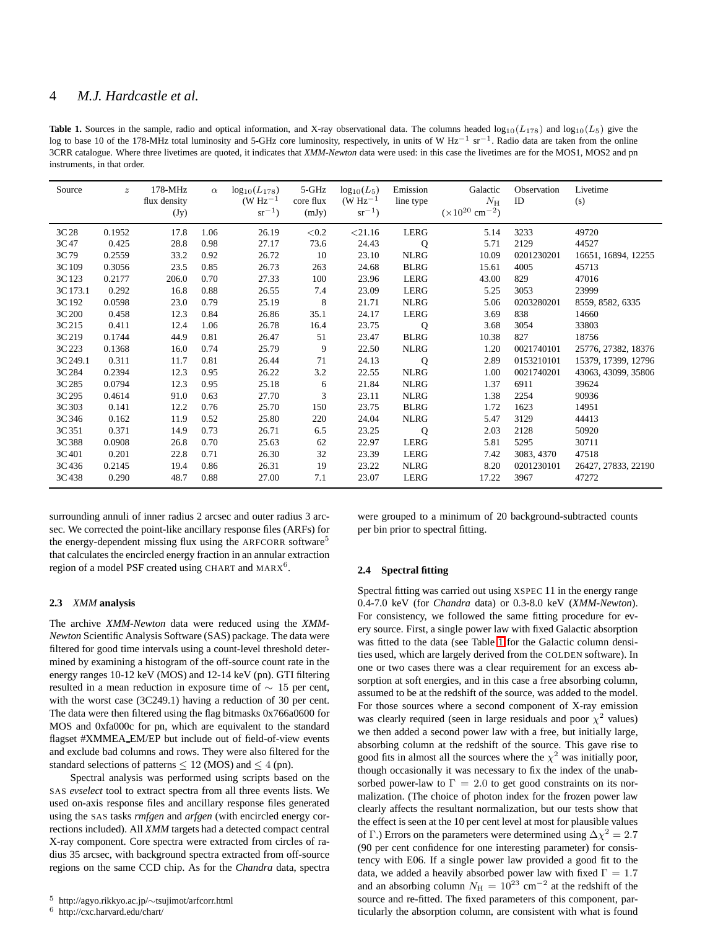# 4 *M.J. Hardcastle et al.*

<span id="page-3-0"></span>**Table 1.** Sources in the sample, radio and optical information, and X-ray observational data. The columns headed  $\log_{10}(L_{178})$  and  $\log_{10}(L_5)$  give the log to base 10 of the 178-MHz total luminosity and 5-GHz core luminosity, respectively, in units of W Hz<sup>-1</sup> sr<sup>-1</sup>. Radio data are taken from the online 3CRR catalogue. Where three livetimes are quoted, it indicates that *XMM-Newton* data were used: in this case the livetimes are for the MOS1, MOS2 and pn instruments, in that order.

| Source   | $\boldsymbol{z}$ | 178-MHz<br>flux density<br>(Jy) | $\alpha$ | $log_{10}(L_{178})$<br>$(W Hz-1$<br>$sr^{-1}$ ) | 5-GHz<br>core flux<br>(mJy) | $log_{10}(L_5)$<br>(W $\text{Hz}^{-1}$<br>$sr^{-1}$ ) | Emission<br>line type | Galactic<br>$N_{\rm H}$<br>$(\times 10^{20}$ cm <sup>-2</sup> ) | Observation<br>ID | Livetime<br>(s)     |
|----------|------------------|---------------------------------|----------|-------------------------------------------------|-----------------------------|-------------------------------------------------------|-----------------------|-----------------------------------------------------------------|-------------------|---------------------|
| 3C 28    | 0.1952           | 17.8                            | 1.06     | 26.19                                           | < 0.2                       | < 21.16                                               | LERG                  | 5.14                                                            | 3233              | 49720               |
| 3C 47    | 0.425            | 28.8                            | 0.98     | 27.17                                           | 73.6                        | 24.43                                                 | Q                     | 5.71                                                            | 2129              | 44527               |
| 3C79     | 0.2559           | 33.2                            | 0.92     | 26.72                                           | 10                          | 23.10                                                 | <b>NLRG</b>           | 10.09                                                           | 0201230201        | 16651, 16894, 12255 |
| 3C 109   | 0.3056           | 23.5                            | 0.85     | 26.73                                           | 263                         | 24.68                                                 | <b>BLRG</b>           | 15.61                                                           | 4005              | 45713               |
| 3C 123   | 0.2177           | 206.0                           | 0.70     | 27.33                                           | 100                         | 23.96                                                 | LERG                  | 43.00                                                           | 829               | 47016               |
| 3C 173.1 | 0.292            | 16.8                            | 0.88     | 26.55                                           | 7.4                         | 23.09                                                 | LERG                  | 5.25                                                            | 3053              | 23999               |
| 3C 192   | 0.0598           | 23.0                            | 0.79     | 25.19                                           | 8                           | 21.71                                                 | <b>NLRG</b>           | 5.06                                                            | 0203280201        | 8559, 8582, 6335    |
| 3C 200   | 0.458            | 12.3                            | 0.84     | 26.86                                           | 35.1                        | 24.17                                                 | <b>LERG</b>           | 3.69                                                            | 838               | 14660               |
| 3C 215   | 0.411            | 12.4                            | 1.06     | 26.78                                           | 16.4                        | 23.75                                                 | Q                     | 3.68                                                            | 3054              | 33803               |
| 3C 219   | 0.1744           | 44.9                            | 0.81     | 26.47                                           | 51                          | 23.47                                                 | <b>BLRG</b>           | 10.38                                                           | 827               | 18756               |
| 3C 223   | 0.1368           | 16.0                            | 0.74     | 25.79                                           | 9                           | 22.50                                                 | <b>NLRG</b>           | 1.20                                                            | 0021740101        | 25776, 27382, 18376 |
| 3C 249.1 | 0.311            | 11.7                            | 0.81     | 26.44                                           | 71                          | 24.13                                                 | $\mathbf Q$           | 2.89                                                            | 0153210101        | 15379, 17399, 12796 |
| 3C 284   | 0.2394           | 12.3                            | 0.95     | 26.22                                           | 3.2                         | 22.55                                                 | <b>NLRG</b>           | 1.00                                                            | 0021740201        | 43063, 43099, 35806 |
| 3C 285   | 0.0794           | 12.3                            | 0.95     | 25.18                                           | 6                           | 21.84                                                 | <b>NLRG</b>           | 1.37                                                            | 6911              | 39624               |
| 3C 295   | 0.4614           | 91.0                            | 0.63     | 27.70                                           | 3                           | 23.11                                                 | <b>NLRG</b>           | 1.38                                                            | 2254              | 90936               |
| 3C 303   | 0.141            | 12.2                            | 0.76     | 25.70                                           | 150                         | 23.75                                                 | <b>BLRG</b>           | 1.72                                                            | 1623              | 14951               |
| 3C 346   | 0.162            | 11.9                            | 0.52     | 25.80                                           | 220                         | 24.04                                                 | <b>NLRG</b>           | 5.47                                                            | 3129              | 44413               |
| 3C 351   | 0.371            | 14.9                            | 0.73     | 26.71                                           | 6.5                         | 23.25                                                 | $\mathbf Q$           | 2.03                                                            | 2128              | 50920               |
| 3C 388   | 0.0908           | 26.8                            | 0.70     | 25.63                                           | 62                          | 22.97                                                 | LERG                  | 5.81                                                            | 5295              | 30711               |
| 3C 401   | 0.201            | 22.8                            | 0.71     | 26.30                                           | 32                          | 23.39                                                 | <b>LERG</b>           | 7.42                                                            | 3083, 4370        | 47518               |
| 3C436    | 0.2145           | 19.4                            | 0.86     | 26.31                                           | 19                          | 23.22                                                 | <b>NLRG</b>           | 8.20                                                            | 0201230101        | 26427, 27833, 22190 |
| 3C438    | 0.290            | 48.7                            | 0.88     | 27.00                                           | 7.1                         | 23.07                                                 | LERG                  | 17.22                                                           | 3967              | 47272               |

surrounding annuli of inner radius 2 arcsec and outer radius 3 arcsec. We corrected the point-like ancillary response files (ARFs) for the energy-dependent missing flux using the ARFCORR software<sup>5</sup> that calculates the encircled energy fraction in an annular extraction region of a model PSF created using CHART and  $MARX^6$ .

#### **2.3** *XMM* **analysis**

The archive *XMM-Newton* data were reduced using the *XMM-Newton* Scientific Analysis Software (SAS) package. The data were filtered for good time intervals using a count-level threshold determined by examining a histogram of the off-source count rate in the energy ranges 10-12 keV (MOS) and 12-14 keV (pn). GTI filtering resulted in a mean reduction in exposure time of  $\sim 15$  per cent, with the worst case (3C249.1) having a reduction of 30 per cent. The data were then filtered using the flag bitmasks 0x766a0600 for MOS and 0xfa000c for pn, which are equivalent to the standard flagset #XMMEA EM/EP but include out of field-of-view events and exclude bad columns and rows. They were also filtered for the standard selections of patterns  $\leq 12$  (MOS) and  $\leq 4$  (pn).

Spectral analysis was performed using scripts based on the SAS *evselect* tool to extract spectra from all three events lists. We used on-axis response files and ancillary response files generated using the SAS tasks *rmfgen* and *arfgen* (with encircled energy corrections included). All *XMM* targets had a detected compact central X-ray component. Core spectra were extracted from circles of radius 35 arcsec, with background spectra extracted from off-source regions on the same CCD chip. As for the *Chandra* data, spectra

were grouped to a minimum of 20 background-subtracted counts per bin prior to spectral fitting.

#### **2.4 Spectral fitting**

Spectral fitting was carried out using XSPEC 11 in the energy range 0.4-7.0 keV (for *Chandra* data) or 0.3-8.0 keV (*XMM-Newton*). For consistency, we followed the same fitting procedure for every source. First, a single power law with fixed Galactic absorption was fitted to the data (see Table [1](#page-3-0) for the Galactic column densities used, which are largely derived from the COLDEN software). In one or two cases there was a clear requirement for an excess absorption at soft energies, and in this case a free absorbing column, assumed to be at the redshift of the source, was added to the model. For those sources where a second component of X-ray emission was clearly required (seen in large residuals and poor  $\chi^2$  values) we then added a second power law with a free, but initially large, absorbing column at the redshift of the source. This gave rise to good fits in almost all the sources where the  $\chi^2$  was initially poor, though occasionally it was necessary to fix the index of the unabsorbed power-law to  $\Gamma = 2.0$  to get good constraints on its normalization. (The choice of photon index for the frozen power law clearly affects the resultant normalization, but our tests show that the effect is seen at the 10 per cent level at most for plausible values of Γ.) Errors on the parameters were determined using  $\Delta \chi^2 = 2.7$ (90 per cent confidence for one interesting parameter) for consistency with E06. If a single power law provided a good fit to the data, we added a heavily absorbed power law with fixed  $\Gamma = 1.7$ and an absorbing column  $N_{\rm H} = 10^{23}$  cm<sup>-2</sup> at the redshift of the source and re-fitted. The fixed parameters of this component, particularly the absorption column, are consistent with what is found

<sup>6</sup> http://cxc.harvard.edu/chart/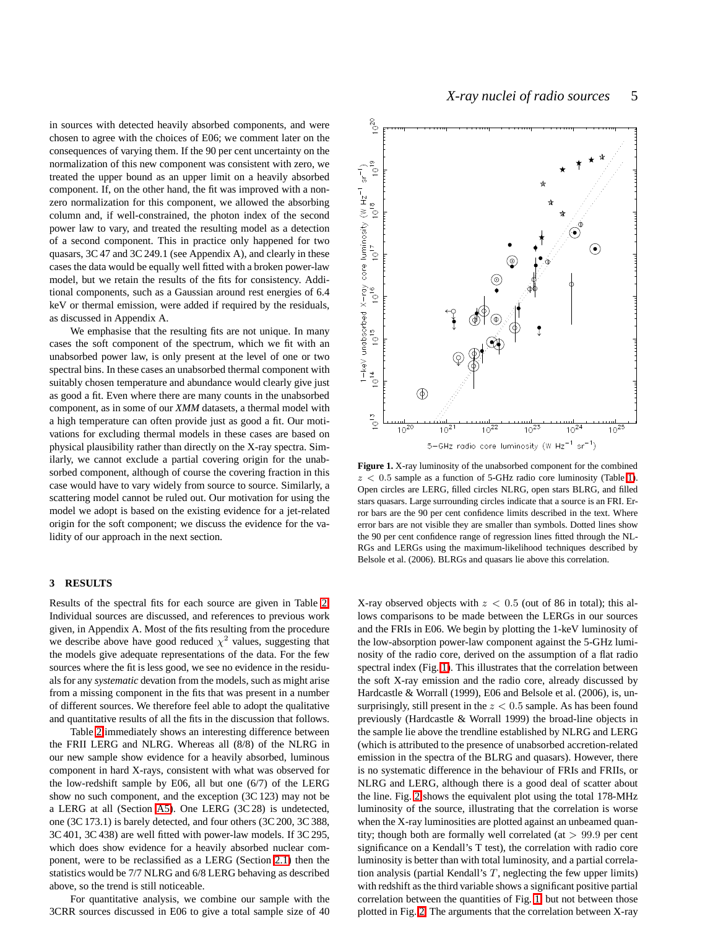in sources with detected heavily absorbed components, and were chosen to agree with the choices of E06; we comment later on the consequences of varying them. If the 90 per cent uncertainty on the normalization of this new component was consistent with zero, we treated the upper bound as an upper limit on a heavily absorbed component. If, on the other hand, the fit was improved with a nonzero normalization for this component, we allowed the absorbing column and, if well-constrained, the photon index of the second power law to vary, and treated the resulting model as a detection of a second component. This in practice only happened for two quasars, 3C 47 and 3C 249.1 (see Appendix A), and clearly in these cases the data would be equally well fitted with a broken power-law model, but we retain the results of the fits for consistency. Additional components, such as a Gaussian around rest energies of 6.4 keV or thermal emission, were added if required by the residuals, as discussed in Appendix A.

We emphasise that the resulting fits are not unique. In many cases the soft component of the spectrum, which we fit with an unabsorbed power law, is only present at the level of one or two spectral bins. In these cases an unabsorbed thermal component with suitably chosen temperature and abundance would clearly give just as good a fit. Even where there are many counts in the unabsorbed component, as in some of our *XMM* datasets, a thermal model with a high temperature can often provide just as good a fit. Our motivations for excluding thermal models in these cases are based on physical plausibility rather than directly on the X-ray spectra. Similarly, we cannot exclude a partial covering origin for the unabsorbed component, although of course the covering fraction in this case would have to vary widely from source to source. Similarly, a scattering model cannot be ruled out. Our motivation for using the model we adopt is based on the existing evidence for a jet-related origin for the soft component; we discuss the evidence for the validity of our approach in the next section.

#### **3 RESULTS**

Results of the spectral fits for each source are given in Table [2.](#page-5-0) Individual sources are discussed, and references to previous work given, in Appendix A. Most of the fits resulting from the procedure we describe above have good reduced  $\chi^2$  values, suggesting that the models give adequate representations of the data. For the few sources where the fit is less good, we see no evidence in the residuals for any *systematic* devation from the models, such as might arise from a missing component in the fits that was present in a number of different sources. We therefore feel able to adopt the qualitative and quantitative results of all the fits in the discussion that follows.

Table [2](#page-5-0) immediately shows an interesting difference between the FRII LERG and NLRG. Whereas all (8/8) of the NLRG in our new sample show evidence for a heavily absorbed, luminous component in hard X-rays, consistent with what was observed for the low-redshift sample by E06, all but one (6/7) of the LERG show no such component, and the exception (3C 123) may not be a LERG at all (Section [A5\)](#page-10-0). One LERG (3C 28) is undetected, one (3C 173.1) is barely detected, and four others (3C 200, 3C 388, 3C 401, 3C 438) are well fitted with power-law models. If 3C 295, which does show evidence for a heavily absorbed nuclear component, were to be reclassified as a LERG (Section [2.1\)](#page-2-0) then the statistics would be 7/7 NLRG and 6/8 LERG behaving as described above, so the trend is still noticeable.

For quantitative analysis, we combine our sample with the 3CRR sources discussed in E06 to give a total sample size of 40



<span id="page-4-0"></span>**Figure 1.** X-ray luminosity of the unabsorbed component for the combined  $z < 0.5$  sample as a function of 5-GHz radio core luminosity (Table [1\)](#page-3-0). Open circles are LERG, filled circles NLRG, open stars BLRG, and filled stars quasars. Large surrounding circles indicate that a source is an FRI. Error bars are the 90 per cent confidence limits described in the text. Where error bars are not visible they are smaller than symbols. Dotted lines show the 90 per cent confidence range of regression lines fitted through the NL-RGs and LERGs using the maximum-likelihood techniques described by Belsole et al. (2006). BLRGs and quasars lie above this correlation.

X-ray observed objects with  $z < 0.5$  (out of 86 in total); this allows comparisons to be made between the LERGs in our sources and the FRIs in E06. We begin by plotting the 1-keV luminosity of the low-absorption power-law component against the 5-GHz luminosity of the radio core, derived on the assumption of a flat radio spectral index (Fig. [1\)](#page-4-0). This illustrates that the correlation between the soft X-ray emission and the radio core, already discussed by Hardcastle & Worrall (1999), E06 and Belsole et al. (2006), is, unsurprisingly, still present in the  $z < 0.5$  sample. As has been found previously (Hardcastle & Worrall 1999) the broad-line objects in the sample lie above the trendline established by NLRG and LERG (which is attributed to the presence of unabsorbed accretion-related emission in the spectra of the BLRG and quasars). However, there is no systematic difference in the behaviour of FRIs and FRIIs, or NLRG and LERG, although there is a good deal of scatter about the line. Fig. [2](#page-6-0) shows the equivalent plot using the total 178-MHz luminosity of the source, illustrating that the correlation is worse when the X-ray luminosities are plotted against an unbeamed quantity; though both are formally well correlated (at  $> 99.9$  per cent significance on a Kendall's T test), the correlation with radio core luminosity is better than with total luminosity, and a partial correlation analysis (partial Kendall's  $T$ , neglecting the few upper limits) with redshift as the third variable shows a significant positive partial correlation between the quantities of Fig. [1,](#page-4-0) but not between those plotted in Fig. [2.](#page-6-0) The arguments that the correlation between X-ray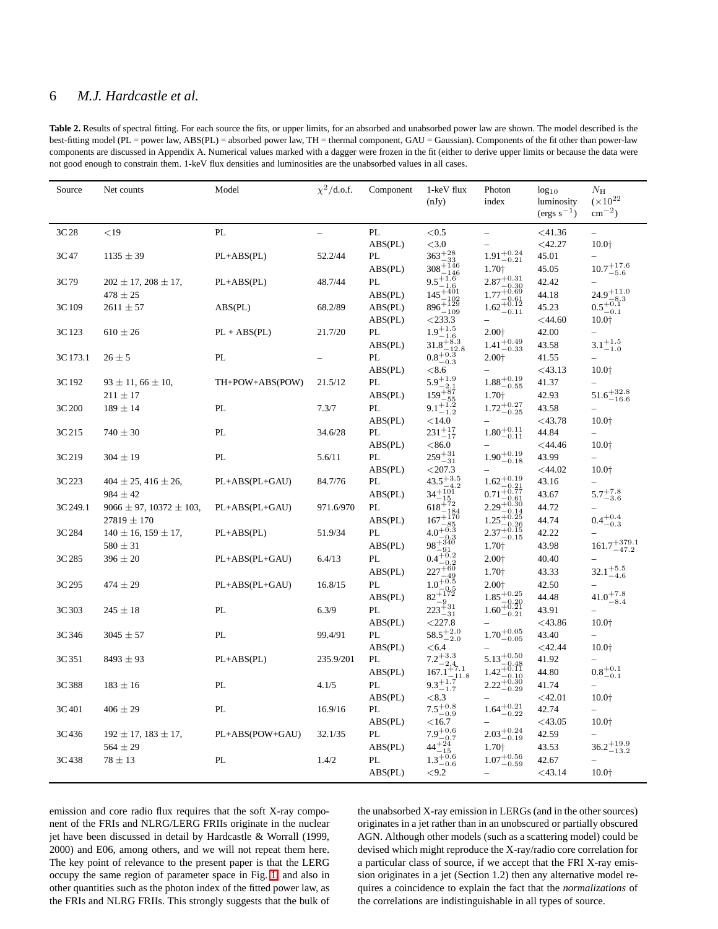# 6 *M.J. Hardcastle et al.*

<span id="page-5-0"></span>Table 2. Results of spectral fitting. For each source the fits, or upper limits, for an absorbed and unabsorbed power law are shown. The model described is the best-fitting model (PL = power law, ABS(PL) = absorbed power law, TH = thermal component, GAU = Gaussian). Components of the fit other than power-law components are discussed in Appendix A. Numerical values marked with a dagger were frozen in the fit (either to derive upper limits or because the data were not good enough to constrain them. 1-keV flux densities and luminosities are the unabsorbed values in all cases.

| Source   | Net counts                        | Model           | $\chi^2/\text{d.o.f.}$ | Component | 1-keV flux<br>(nJy)                                                                                      | Photon<br>index                                                            | $log_{10}$<br>luminosity | $N_{\rm H}$<br>$(\times 10^{22}$        |
|----------|-----------------------------------|-----------------|------------------------|-----------|----------------------------------------------------------------------------------------------------------|----------------------------------------------------------------------------|--------------------------|-----------------------------------------|
|          |                                   |                 |                        |           |                                                                                                          |                                                                            | $(\text{ergs s}^{-1})$   | $\rm cm^{-2}$ )                         |
| 3C 28    | $<$ 19                            | PL              |                        | PL        | < 0.5                                                                                                    |                                                                            | $<$ 41.36                |                                         |
|          |                                   |                 |                        | ABS(PL)   | ${<}3.0$                                                                                                 |                                                                            | $<$ 42.27                | 10.0+                                   |
| 3C 47    | $1135 \pm 39$                     | $PL+ABS(PL)$    | 52.2/44                | PL        | $363^{+28}_{-22}$<br>$308 + 146$                                                                         | $1.91 \substack{+0.24 \\ -0.21}$                                           | 45.01                    |                                         |
|          |                                   |                 |                        | ABS(PL)   |                                                                                                          | 1.70+                                                                      | 45.05                    | $10.7^{+17.6}_{-5.6}$                   |
| 3C 79    | $202 \pm 17$ , $208 \pm 17$ ,     | $PL+ABS(PL)$    | 48.7/44                | PL        | 9.5 <sup><math>+1.6</math></sup><br>145 <sup><math>+401</math></sup><br>145 <sup><math>+401</math></sup> | $2.87^{+0.31}_{-0.21}$<br>$2.87^{+8.30}_{-0.30}$<br>$1.77^{+0.69}_{-0.61}$ | 42.42                    |                                         |
|          | $478 \pm 25$                      |                 |                        | ABS(PL)   | -102                                                                                                     |                                                                            | 44.18                    | $24.9^{+11.0}_{-2.2}$<br>$-8.3$         |
| 3C 109   | $2611 \pm 57$                     | ABS(PL)         | 68.2/89                | ABS(PL)   | $896^{+129}_{-109}$                                                                                      | $1.62^{+0.61}_{-0.12}$                                                     | 45.23                    | $0.5_{-0.1}^{+0.1}$                     |
|          |                                   |                 |                        | ABS(PL)   | $<$ 233.3                                                                                                |                                                                            | $<$ 44.60                | 10.0 <sub>†</sub>                       |
| 3C 123   | $610 \pm 26$                      | $PL + ABS(PL)$  | 21.7/20                | PL        | $1.9^{+1.5}$                                                                                             | 2.00+                                                                      | 42.00                    |                                         |
|          |                                   |                 |                        | ABS(PL)   | $1.9$ - 1.6<br>31.8 <sup>+8.3</sup>                                                                      | $1.41_{-0.33}^{+0.49}$                                                     | 43.58                    | $3.1^{+1.5}_{-1.0}$                     |
| 3C 173.1 | $26 \pm 5$                        | PL              |                        | PL        | $0.8^{+\overline{0.3}}_{-}$                                                                              | 2.00 <sup>+</sup>                                                          | 41.55                    |                                         |
|          |                                   |                 |                        | ABS(PL)   | < 8.6                                                                                                    |                                                                            | $<$ 43.13                | 10.0 <sub>†</sub>                       |
| 3C 192   | $93 \pm 11, 66 \pm 10,$           | TH+POW+ABS(POW) | 21.5/12                | PL        | $5.9^{+1.9}$                                                                                             | $1.88^{+0.19}_{-0.55}$                                                     | 41.37                    |                                         |
|          | $211 \pm 17$                      |                 |                        | ABS(PL)   | $5.9_{-2.1}^{+2.1}$<br>$159_{-55}^{+87}$<br>$9.1_{-1.2}^{+1.2}$                                          | 1.70+                                                                      | 42.93                    | $51.6^{+32.8}_{-16.6}$                  |
| 3C 200   | $189 \pm 14$                      | PL              | 7.3/7                  | PL        |                                                                                                          | $1.72_{-0.25}^{+0.27}$                                                     | 43.58                    |                                         |
|          |                                   |                 |                        | ABS(PL)   | $<$ 14.0                                                                                                 |                                                                            | $<$ 43.78                | 10.0 <sup>+</sup>                       |
| 3C 215   | $740 \pm 30$                      | PL              | 34.6/28                | PL        | $231^{+17}_{-17}$                                                                                        | $1.80^{+0.11}_{-0.11}$                                                     | 44.84                    |                                         |
|          |                                   |                 |                        | ABS(PL)   | < 86.0                                                                                                   |                                                                            | $<$ 44.46                | 10.0+                                   |
| 3C 219   | $304 \pm 19$                      | PL              | 5.6/11                 | PL        | $259^{+31}_{-31}$                                                                                        | $1.90^{+0.19}_{-0.18}$                                                     | 43.99                    |                                         |
|          |                                   |                 |                        | ABS(PL)   | < 207.3                                                                                                  |                                                                            | < 44.02                  | 10.0 <sub>†</sub>                       |
| 3C 223   | $404 \pm 25, 416 \pm 26,$         | PL+ABS(PL+GAU)  | 84.7/76                | PL        | $43.5 + ^{3.5}_{1.5}$                                                                                    | $1.62^{+0.19}_{-0.19}$                                                     | 43.16                    |                                         |
|          | $984 \pm 42$                      |                 |                        | ABS(PL)   | $34 + 101 + 2$                                                                                           | $0.71^{+0.21}_{-0.77}$                                                     | 43.67                    | $5.7^{+7.8}_{-3.6}$                     |
| 3C 249.1 | $9066 \pm 97$ , $10372 \pm 103$ , | PL+ABS(PL+GAU)  | 971.6/970              | PL        | $618^{+201}_{-12}$                                                                                       | $2.29_{-0.80}^{+1-0.61}$                                                   | 44.72                    |                                         |
|          | $27819 \pm 170$                   |                 |                        | ABS(PL)   | $167 + 184$<br>$167 + 170$<br>$-85$                                                                      | $1.25 + 0.25$                                                              | 44.74                    | $0.4^{+0.4}_{-0.3}$                     |
| 3C 284   | $140 \pm 16$ , $159 \pm 17$ ,     | $PL+ABS(PL)$    | 51.9/34                | PL        | $4.0^{+0.3}_{-0.3}$<br>$-0.3$                                                                            | $2.37^{+0.15}_{-0.15}$                                                     | 42.22                    |                                         |
|          | $580 \pm 31$                      |                 |                        | ABS(PL)   | $98 + 340$<br>-91                                                                                        | 1.70+                                                                      | 43.98                    | $161.7^{+379.1}_{-47.2}$                |
| 3C 285   | $396 \pm 20$                      | PL+ABS(PL+GAU)  | 6.4/13                 | PL        | $0.4^{+0.2}_{-0.2}$                                                                                      | $2.00+$                                                                    | 40.40                    |                                         |
|          |                                   |                 |                        | ABS(PL)   | $227 + 60$                                                                                               | 1.70 <sup>+</sup>                                                          | 43.33                    | $32.1^{+5.5}_{-4.6}$                    |
| 3C 295   | $474 \pm 29$                      | PL+ABS(PL+GAU)  | 16.8/15                | PL        | $227 - 49$<br>$1.0 + 0.5$<br>$1.0 - 0.5$                                                                 | 2.00+                                                                      | 42.50                    |                                         |
|          |                                   |                 |                        | ABS(PL)   | $82^{+172}_{-0.5}$<br>-9                                                                                 |                                                                            | 44.48                    | $41.0^{+7.8}_{-8.4}$                    |
| 3C 303   | $245 \pm 18$                      | PL              | 6.3/9                  | PL        | $223\frac{1}{31}31$                                                                                      | $\substack{1.85_{-0.20}^{+0.25}\\-0.20\\1.60_{-0.21}^{+0.21}}$             | 43.91                    |                                         |
|          |                                   |                 |                        | ABS(PL)   | $<$ 227.8                                                                                                |                                                                            | $<$ 43.86                | 10.0 <sub>†</sub>                       |
| 3C 346   | $3045 \pm 57$                     | PL              | 99.4/91                | PL        | $58.5^{+2.0}_{-2.0}$                                                                                     | $1.70^{+0.05}_{-0.05}$                                                     | 43.40                    |                                         |
|          |                                   |                 |                        | ABS(PL)   | < 6.4                                                                                                    |                                                                            | $<$ 42.44                | 10.0 <sub>†</sub>                       |
| 3C 351   | $8493 \pm 93$                     | $PL+ABS(PL)$    | 235.9/201              | PL        | $7.2^{+3.3}$                                                                                             | $5.13^{+0.50}_{-0.50}$                                                     | 41.92                    |                                         |
|          |                                   |                 |                        | ABS(PL)   | $-2.4$<br>$167.1^{+7.1}$                                                                                 | $1.42^{+0.48}_{-0.11}$                                                     | 44.80                    | $0.8^{+0.1}_{\phantom{00}\phantom{00}}$ |
| 3C 388   | $183 \pm 16$                      | PL              | 4.1/5                  | PL        | $^{107.1}_{9.3^{+1.7}_{-1.7}}$                                                                           | $1.42 - 0.10$<br>2.22+0.30                                                 | 41.74                    | $-0.1$                                  |
|          |                                   |                 |                        | ABS(PL)   | < 8.3                                                                                                    |                                                                            | $<$ 42.01                | 10.0 <sub>†</sub>                       |
| 3C 401   | $406 \pm 29$                      | PL              | 16.9/16                | PL        | $7.5^{+0.8}_{-0.9}$                                                                                      | $1.64^{+0.21}_{-0.22}$                                                     | 42.74                    |                                         |
|          |                                   |                 |                        | ABS(PL)   | $<$ 16.7                                                                                                 |                                                                            | $<$ 43.05                | 10.0 <sub>†</sub>                       |
| 3C436    | $192 \pm 17$ , $183 \pm 17$ ,     | PL+ABS(POW+GAU) | 32.1/35                | PL        |                                                                                                          | $2.03_{-0.19}^{+0.24}$                                                     | 42.59                    |                                         |
|          | $564 \pm 29$                      |                 |                        | ABS(PL)   | $7.9^{+0.6}_{-0.7}$<br>$44^{+24}_{-15}$                                                                  | 1.70+                                                                      | 43.53                    | $36.2^{+19.9}_{-13.2}$                  |
| 3C438    | $78 \pm 13$                       | PL              | 1.4/2                  | PL        | $-15$<br>$1.3^{+0.6}_{-0.6}$                                                                             | $1.07^{+0.56}_{-0.59}$                                                     | 42.67                    |                                         |
|          |                                   |                 |                        | ABS(PL)   | $-0.6$<br><9.2                                                                                           |                                                                            | $<$ 43.14                | 10.0 <sup>+</sup>                       |
|          |                                   |                 |                        |           |                                                                                                          |                                                                            |                          |                                         |

emission and core radio flux requires that the soft X-ray component of the FRIs and NLRG/LERG FRIIs originate in the nuclear jet have been discussed in detail by Hardcastle & Worrall (1999, 2000) and E06, among others, and we will not repeat them here. The key point of relevance to the present paper is that the LERG occupy the same region of parameter space in Fig. [1,](#page-4-0) and also in other quantities such as the photon index of the fitted power law, as the FRIs and NLRG FRIIs. This strongly suggests that the bulk of the unabsorbed X-ray emission in LERGs (and in the other sources) originates in a jet rather than in an unobscured or partially obscured AGN. Although other models (such as a scattering model) could be devised which might reproduce the X-ray/radio core correlation for a particular class of source, if we accept that the FRI X-ray emission originates in a jet (Section 1.2) then any alternative model requires a coincidence to explain the fact that the *normalizations* of the correlations are indistinguishable in all types of source.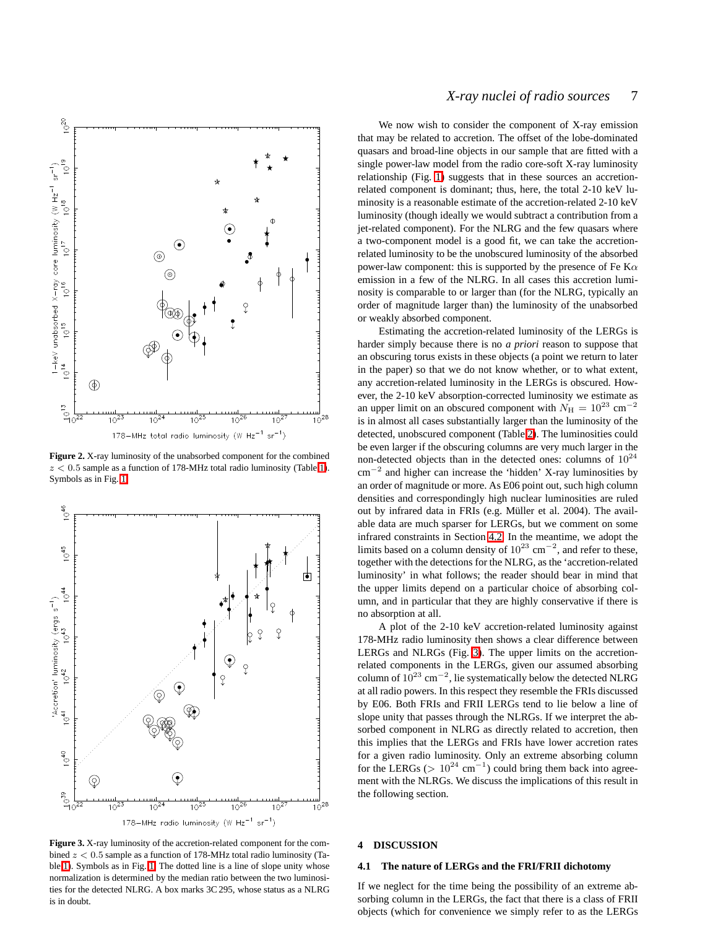

<span id="page-6-0"></span>**Figure 2.** X-ray luminosity of the unabsorbed component for the combined  $z < 0.5$  sample as a function of 178-MHz total radio luminosity (Table [1\)](#page-3-0). Symbols as in Fig. [1.](#page-4-0)



<span id="page-6-1"></span>**Figure 3.** X-ray luminosity of the accretion-related component for the combined  $z < 0.5$  sample as a function of 178-MHz total radio luminosity (Table [1\)](#page-3-0). Symbols as in Fig. [1.](#page-4-0) The dotted line is a line of slope unity whose normalization is determined by the median ratio between the two luminosities for the detected NLRG. A box marks 3C 295, whose status as a NLRG is in doubt.

# *X-ray nuclei of radio sources* 7

We now wish to consider the component of X-ray emission that may be related to accretion. The offset of the lobe-dominated quasars and broad-line objects in our sample that are fitted with a single power-law model from the radio core-soft X-ray luminosity relationship (Fig. [1\)](#page-4-0) suggests that in these sources an accretionrelated component is dominant; thus, here, the total 2-10 keV luminosity is a reasonable estimate of the accretion-related 2-10 keV luminosity (though ideally we would subtract a contribution from a jet-related component). For the NLRG and the few quasars where a two-component model is a good fit, we can take the accretionrelated luminosity to be the unobscured luminosity of the absorbed power-law component: this is supported by the presence of Fe K $\alpha$ emission in a few of the NLRG. In all cases this accretion luminosity is comparable to or larger than (for the NLRG, typically an order of magnitude larger than) the luminosity of the unabsorbed or weakly absorbed component.

Estimating the accretion-related luminosity of the LERGs is harder simply because there is no *a priori* reason to suppose that an obscuring torus exists in these objects (a point we return to later in the paper) so that we do not know whether, or to what extent, any accretion-related luminosity in the LERGs is obscured. However, the 2-10 keV absorption-corrected luminosity we estimate as an upper limit on an obscured component with  $N_H = 10^{23}$  cm<sup>-2</sup> is in almost all cases substantially larger than the luminosity of the detected, unobscured component (Table [2\)](#page-5-0). The luminosities could be even larger if the obscuring columns are very much larger in the non-detected objects than in the detected ones: columns of  $10^{24}$ cm<sup>−</sup><sup>2</sup> and higher can increase the 'hidden' X-ray luminosities by an order of magnitude or more. As E06 point out, such high column densities and correspondingly high nuclear luminosities are ruled out by infrared data in FRIs (e.g. Müller et al. 2004). The available data are much sparser for LERGs, but we comment on some infrared constraints in Section [4.2.](#page-8-0) In the meantime, we adopt the limits based on a column density of  $10^{23}$  cm<sup>-2</sup>, and refer to these, together with the detections for the NLRG, as the 'accretion-related luminosity' in what follows; the reader should bear in mind that the upper limits depend on a particular choice of absorbing column, and in particular that they are highly conservative if there is no absorption at all.

A plot of the 2-10 keV accretion-related luminosity against 178-MHz radio luminosity then shows a clear difference between LERGs and NLRGs (Fig. [3\)](#page-6-1). The upper limits on the accretionrelated components in the LERGs, given our assumed absorbing column of  $10^{23}$  cm<sup>-2</sup>, lie systematically below the detected NLRG at all radio powers. In this respect they resemble the FRIs discussed by E06. Both FRIs and FRII LERGs tend to lie below a line of slope unity that passes through the NLRGs. If we interpret the absorbed component in NLRG as directly related to accretion, then this implies that the LERGs and FRIs have lower accretion rates for a given radio luminosity. Only an extreme absorbing column for the LERGs ( $> 10^{24}$  cm<sup>-1</sup>) could bring them back into agreement with the NLRGs. We discuss the implications of this result in the following section.

# **4 DISCUSSION**

#### **4.1 The nature of LERGs and the FRI/FRII dichotomy**

If we neglect for the time being the possibility of an extreme absorbing column in the LERGs, the fact that there is a class of FRII objects (which for convenience we simply refer to as the LERGs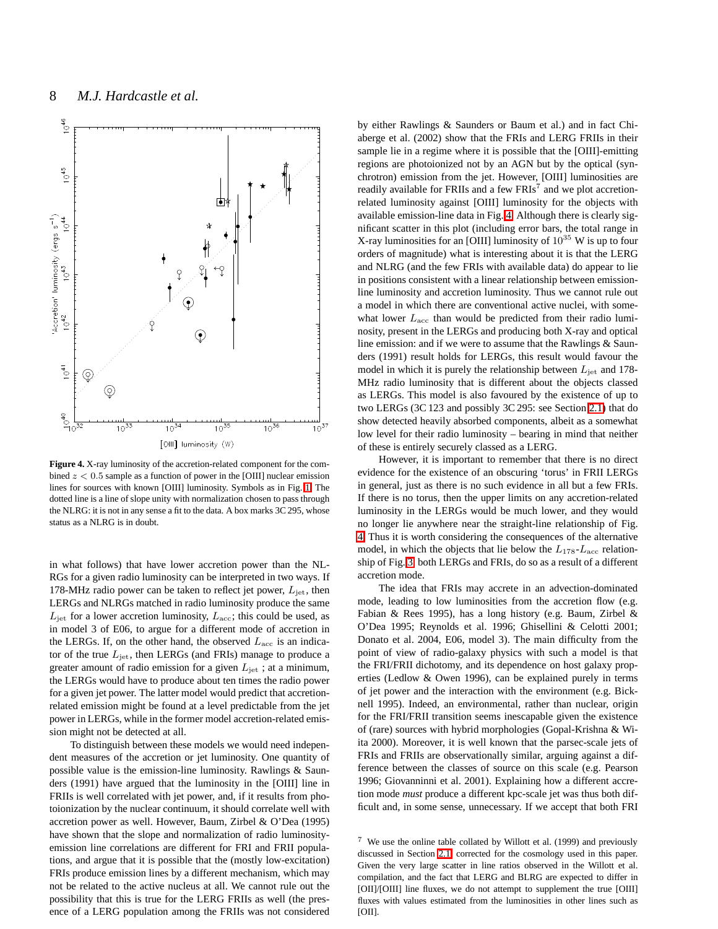

<span id="page-7-0"></span>**Figure 4.** X-ray luminosity of the accretion-related component for the combined  $z < 0.5$  sample as a function of power in the [OIII] nuclear emission lines for sources with known [OIII] luminosity. Symbols as in Fig. [1.](#page-4-0) The dotted line is a line of slope unity with normalization chosen to pass through the NLRG: it is not in any sense a fit to the data. A box marks 3C 295, whose status as a NLRG is in doubt.

in what follows) that have lower accretion power than the NL-RGs for a given radio luminosity can be interpreted in two ways. If 178-MHz radio power can be taken to reflect jet power,  $L_{\text{jet}}$ , then LERGs and NLRGs matched in radio luminosity produce the same  $L_{\text{jet}}$  for a lower accretion luminosity,  $L_{\text{acc}}$ ; this could be used, as in model 3 of E06, to argue for a different mode of accretion in the LERGs. If, on the other hand, the observed  $L<sub>acc</sub>$  is an indicator of the true  $L_{\rm jet}$ , then LERGs (and FRIs) manage to produce a greater amount of radio emission for a given  $L_{\text{jet}}$ ; at a minimum, the LERGs would have to produce about ten times the radio power for a given jet power. The latter model would predict that accretionrelated emission might be found at a level predictable from the jet power in LERGs, while in the former model accretion-related emission might not be detected at all.

To distinguish between these models we would need independent measures of the accretion or jet luminosity. One quantity of possible value is the emission-line luminosity. Rawlings & Saunders (1991) have argued that the luminosity in the [OIII] line in FRIIs is well correlated with jet power, and, if it results from photoionization by the nuclear continuum, it should correlate well with accretion power as well. However, Baum, Zirbel & O'Dea (1995) have shown that the slope and normalization of radio luminosityemission line correlations are different for FRI and FRII populations, and argue that it is possible that the (mostly low-excitation) FRIs produce emission lines by a different mechanism, which may not be related to the active nucleus at all. We cannot rule out the possibility that this is true for the LERG FRIIs as well (the presence of a LERG population among the FRIIs was not considered

by either Rawlings & Saunders or Baum et al.) and in fact Chiaberge et al. (2002) show that the FRIs and LERG FRIIs in their sample lie in a regime where it is possible that the [OIII]-emitting regions are photoionized not by an AGN but by the optical (synchrotron) emission from the jet. However, [OIII] luminosities are readily available for FRIIs and a few  $FRIs<sup>7</sup>$  and we plot accretionrelated luminosity against [OIII] luminosity for the objects with available emission-line data in Fig. [4.](#page-7-0) Although there is clearly significant scatter in this plot (including error bars, the total range in X-ray luminosities for an [OIII] luminosity of  $10^{35}$  W is up to four orders of magnitude) what is interesting about it is that the LERG and NLRG (and the few FRIs with available data) do appear to lie in positions consistent with a linear relationship between emissionline luminosity and accretion luminosity. Thus we cannot rule out a model in which there are conventional active nuclei, with somewhat lower  $L<sub>acc</sub>$  than would be predicted from their radio luminosity, present in the LERGs and producing both X-ray and optical line emission: and if we were to assume that the Rawlings & Saunders (1991) result holds for LERGs, this result would favour the model in which it is purely the relationship between  $L_{\text{jet}}$  and 178-MHz radio luminosity that is different about the objects classed as LERGs. This model is also favoured by the existence of up to two LERGs (3C 123 and possibly 3C 295: see Section [2.1\)](#page-2-0) that do show detected heavily absorbed components, albeit as a somewhat low level for their radio luminosity – bearing in mind that neither of these is entirely securely classed as a LERG.

However, it is important to remember that there is no direct evidence for the existence of an obscuring 'torus' in FRII LERGs in general, just as there is no such evidence in all but a few FRIs. If there is no torus, then the upper limits on any accretion-related luminosity in the LERGs would be much lower, and they would no longer lie anywhere near the straight-line relationship of Fig. [4.](#page-7-0) Thus it is worth considering the consequences of the alternative model, in which the objects that lie below the  $L_{178}$ - $L_{\text{acc}}$  relationship of Fig. [3,](#page-6-1) both LERGs and FRIs, do so as a result of a different accretion mode.

The idea that FRIs may accrete in an advection-dominated mode, leading to low luminosities from the accretion flow (e.g. Fabian & Rees 1995), has a long history (e.g. Baum, Zirbel & O'Dea 1995; Reynolds et al. 1996; Ghisellini & Celotti 2001; Donato et al. 2004, E06, model 3). The main difficulty from the point of view of radio-galaxy physics with such a model is that the FRI/FRII dichotomy, and its dependence on host galaxy properties (Ledlow & Owen 1996), can be explained purely in terms of jet power and the interaction with the environment (e.g. Bicknell 1995). Indeed, an environmental, rather than nuclear, origin for the FRI/FRII transition seems inescapable given the existence of (rare) sources with hybrid morphologies (Gopal-Krishna & Wiita 2000). Moreover, it is well known that the parsec-scale jets of FRIs and FRIIs are observationally similar, arguing against a difference between the classes of source on this scale (e.g. Pearson 1996; Giovanninni et al. 2001). Explaining how a different accretion mode *must* produce a different kpc-scale jet was thus both difficult and, in some sense, unnecessary. If we accept that both FRI

<sup>7</sup> We use the online table collated by Willott et al. (1999) and previously discussed in Section [2.1,](#page-2-0) corrected for the cosmology used in this paper. Given the very large scatter in line ratios observed in the Willott et al. compilation, and the fact that LERG and BLRG are expected to differ in [OII]/[OIII] line fluxes, we do not attempt to supplement the true [OIII] fluxes with values estimated from the luminosities in other lines such as [OII].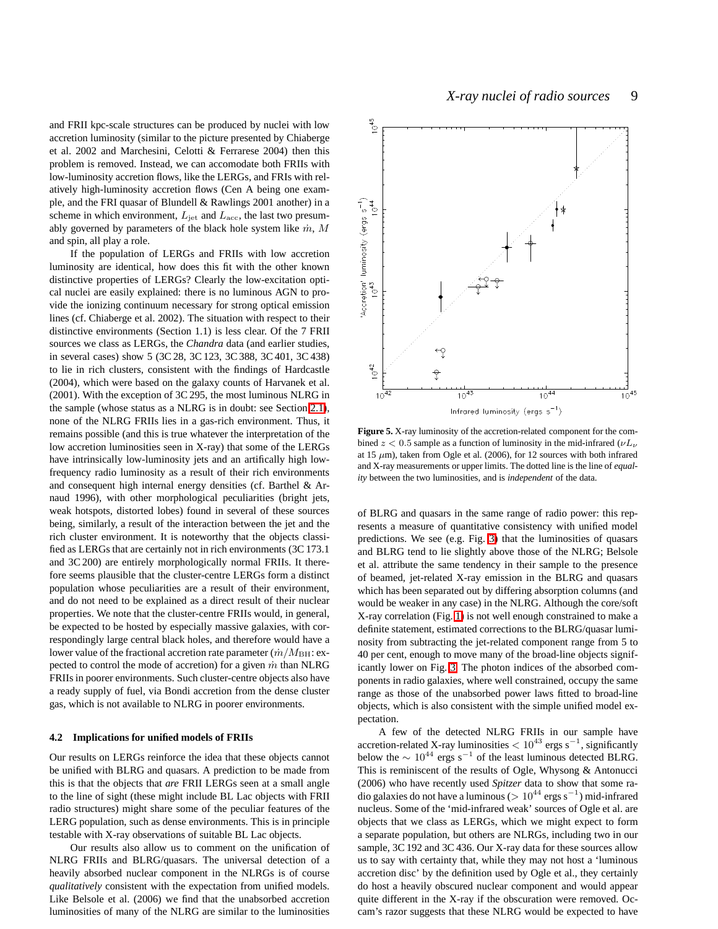and FRII kpc-scale structures can be produced by nuclei with low accretion luminosity (similar to the picture presented by Chiaberge et al. 2002 and Marchesini, Celotti & Ferrarese 2004) then this problem is removed. Instead, we can accomodate both FRIIs with low-luminosity accretion flows, like the LERGs, and FRIs with relatively high-luminosity accretion flows (Cen A being one example, and the FRI quasar of Blundell & Rawlings 2001 another) in a scheme in which environment,  $L_{\text{jet}}$  and  $L_{\text{acc}}$ , the last two presumably governed by parameters of the black hole system like  $\dot{m}$ , M and spin, all play a role.

If the population of LERGs and FRIIs with low accretion luminosity are identical, how does this fit with the other known distinctive properties of LERGs? Clearly the low-excitation optical nuclei are easily explained: there is no luminous AGN to provide the ionizing continuum necessary for strong optical emission lines (cf. Chiaberge et al. 2002). The situation with respect to their distinctive environments (Section 1.1) is less clear. Of the 7 FRII sources we class as LERGs, the *Chandra* data (and earlier studies, in several cases) show 5 (3C 28, 3C 123, 3C 388, 3C 401, 3C 438) to lie in rich clusters, consistent with the findings of Hardcastle (2004), which were based on the galaxy counts of Harvanek et al. (2001). With the exception of 3C 295, the most luminous NLRG in the sample (whose status as a NLRG is in doubt: see Section [2.1\)](#page-2-0), none of the NLRG FRIIs lies in a gas-rich environment. Thus, it remains possible (and this is true whatever the interpretation of the low accretion luminosities seen in X-ray) that some of the LERGs have intrinsically low-luminosity jets and an artifically high lowfrequency radio luminosity as a result of their rich environments and consequent high internal energy densities (cf. Barthel & Arnaud 1996), with other morphological peculiarities (bright jets, weak hotspots, distorted lobes) found in several of these sources being, similarly, a result of the interaction between the jet and the rich cluster environment. It is noteworthy that the objects classified as LERGs that are certainly not in rich environments (3C 173.1 and 3C 200) are entirely morphologically normal FRIIs. It therefore seems plausible that the cluster-centre LERGs form a distinct population whose peculiarities are a result of their environment, and do not need to be explained as a direct result of their nuclear properties. We note that the cluster-centre FRIIs would, in general, be expected to be hosted by especially massive galaxies, with correspondingly large central black holes, and therefore would have a lower value of the fractional accretion rate parameter  $(\dot{m}/M_{\rm BH})$ : expected to control the mode of accretion) for a given  $\dot{m}$  than NLRG FRIIs in poorer environments. Such cluster-centre objects also have a ready supply of fuel, via Bondi accretion from the dense cluster gas, which is not available to NLRG in poorer environments.

#### <span id="page-8-0"></span>**4.2 Implications for unified models of FRIIs**

Our results on LERGs reinforce the idea that these objects cannot be unified with BLRG and quasars. A prediction to be made from this is that the objects that *are* FRII LERGs seen at a small angle to the line of sight (these might include BL Lac objects with FRII radio structures) might share some of the peculiar features of the LERG population, such as dense environments. This is in principle testable with X-ray observations of suitable BL Lac objects.

Our results also allow us to comment on the unification of NLRG FRIIs and BLRG/quasars. The universal detection of a heavily absorbed nuclear component in the NLRGs is of course *qualitatively* consistent with the expectation from unified models. Like Belsole et al. (2006) we find that the unabsorbed accretion luminosities of many of the NLRG are similar to the luminosities



<span id="page-8-1"></span>**Figure 5.** X-ray luminosity of the accretion-related component for the combined  $z < 0.5$  sample as a function of luminosity in the mid-infrared  $(\nu L_{\nu})$ at 15  $\mu$ m), taken from Ogle et al. (2006), for 12 sources with both infrared and X-ray measurements or upper limits. The dotted line is the line of *equality* between the two luminosities, and is *independent* of the data.

of BLRG and quasars in the same range of radio power: this represents a measure of quantitative consistency with unified model predictions. We see (e.g. Fig. [3\)](#page-6-1) that the luminosities of quasars and BLRG tend to lie slightly above those of the NLRG; Belsole et al. attribute the same tendency in their sample to the presence of beamed, jet-related X-ray emission in the BLRG and quasars which has been separated out by differing absorption columns (and would be weaker in any case) in the NLRG. Although the core/soft X-ray correlation (Fig. [1\)](#page-4-0) is not well enough constrained to make a definite statement, estimated corrections to the BLRG/quasar luminosity from subtracting the jet-related component range from 5 to 40 per cent, enough to move many of the broad-line objects significantly lower on Fig. [3.](#page-6-1) The photon indices of the absorbed components in radio galaxies, where well constrained, occupy the same range as those of the unabsorbed power laws fitted to broad-line objects, which is also consistent with the simple unified model expectation.

A few of the detected NLRG FRIIs in our sample have accretion-related X-ray luminosities  $< 10^{43}$  ergs s<sup>-1</sup>, significantly below the  $\sim 10^{44}$  ergs s<sup>-1</sup> of the least luminous detected BLRG. This is reminiscent of the results of Ogle, Whysong & Antonucci (2006) who have recently used *Spitzer* data to show that some radio galaxies do not have a luminous (> 10<sup>44</sup> ergs s<sup>−</sup><sup>1</sup> ) mid-infrared nucleus. Some of the 'mid-infrared weak' sources of Ogle et al. are objects that we class as LERGs, which we might expect to form a separate population, but others are NLRGs, including two in our sample, 3C 192 and 3C 436. Our X-ray data for these sources allow us to say with certainty that, while they may not host a 'luminous accretion disc' by the definition used by Ogle et al., they certainly do host a heavily obscured nuclear component and would appear quite different in the X-ray if the obscuration were removed. Occam's razor suggests that these NLRG would be expected to have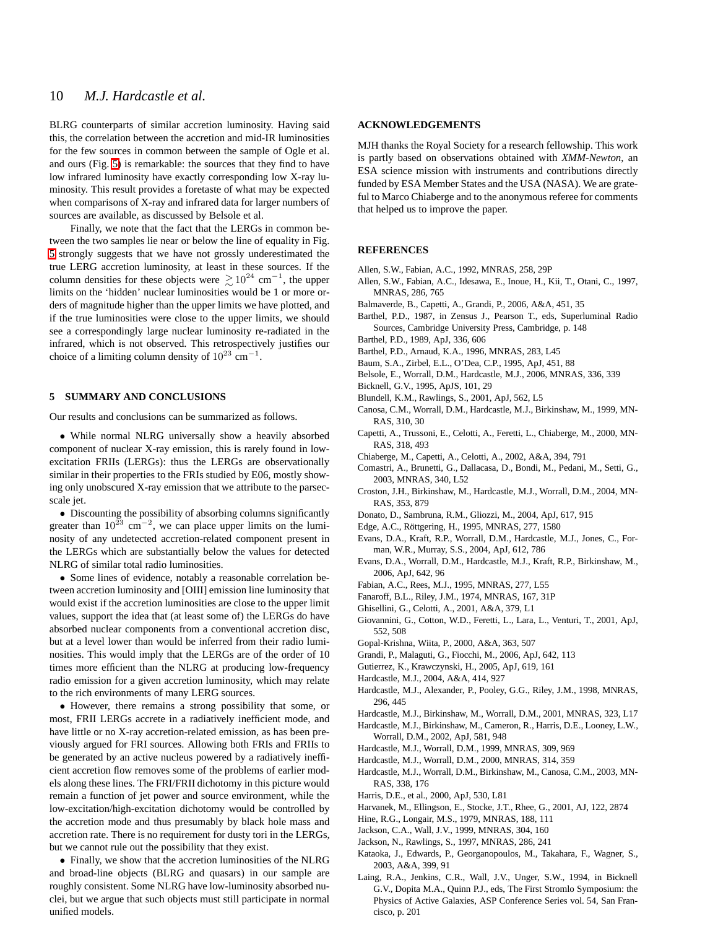BLRG counterparts of similar accretion luminosity. Having said this, the correlation between the accretion and mid-IR luminosities for the few sources in common between the sample of Ogle et al. and ours (Fig. [5\)](#page-8-1) is remarkable: the sources that they find to have low infrared luminosity have exactly corresponding low X-ray luminosity. This result provides a foretaste of what may be expected when comparisons of X-ray and infrared data for larger numbers of sources are available, as discussed by Belsole et al.

Finally, we note that the fact that the LERGs in common between the two samples lie near or below the line of equality in Fig. [5](#page-8-1) strongly suggests that we have not grossly underestimated the true LERG accretion luminosity, at least in these sources. If the column densities for these objects were  $\geq 10^{24}$  cm<sup>-1</sup>, the upper limits on the 'hidden' nuclear luminosities would be 1 or more orders of magnitude higher than the upper limits we have plotted, and if the true luminosities were close to the upper limits, we should see a correspondingly large nuclear luminosity re-radiated in the infrared, which is not observed. This retrospectively justifies our choice of a limiting column density of  $10^{23}$  cm<sup>-1</sup>.

#### **5 SUMMARY AND CONCLUSIONS**

Our results and conclusions can be summarized as follows.

• While normal NLRG universally show a heavily absorbed component of nuclear X-ray emission, this is rarely found in lowexcitation FRIIs (LERGs): thus the LERGs are observationally similar in their properties to the FRIs studied by E06, mostly showing only unobscured X-ray emission that we attribute to the parsecscale jet.

• Discounting the possibility of absorbing columns significantly greater than  $10^{23}$  cm<sup>-2</sup>, we can place upper limits on the luminosity of any undetected accretion-related component present in the LERGs which are substantially below the values for detected NLRG of similar total radio luminosities.

• Some lines of evidence, notably a reasonable correlation between accretion luminosity and [OIII] emission line luminosity that would exist if the accretion luminosities are close to the upper limit values, support the idea that (at least some of) the LERGs do have absorbed nuclear components from a conventional accretion disc, but at a level lower than would be inferred from their radio luminosities. This would imply that the LERGs are of the order of 10 times more efficient than the NLRG at producing low-frequency radio emission for a given accretion luminosity, which may relate to the rich environments of many LERG sources.

• However, there remains a strong possibility that some, or most, FRII LERGs accrete in a radiatively inefficient mode, and have little or no X-ray accretion-related emission, as has been previously argued for FRI sources. Allowing both FRIs and FRIIs to be generated by an active nucleus powered by a radiatively inefficient accretion flow removes some of the problems of earlier models along these lines. The FRI/FRII dichotomy in this picture would remain a function of jet power and source environment, while the low-excitation/high-excitation dichotomy would be controlled by the accretion mode and thus presumably by black hole mass and accretion rate. There is no requirement for dusty tori in the LERGs, but we cannot rule out the possibility that they exist.

• Finally, we show that the accretion luminosities of the NLRG and broad-line objects (BLRG and quasars) in our sample are roughly consistent. Some NLRG have low-luminosity absorbed nuclei, but we argue that such objects must still participate in normal unified models.

## **ACKNOWLEDGEMENTS**

MJH thanks the Royal Society for a research fellowship. This work is partly based on observations obtained with *XMM-Newton*, an ESA science mission with instruments and contributions directly funded by ESA Member States and the USA (NASA). We are grateful to Marco Chiaberge and to the anonymous referee for comments that helped us to improve the paper.

## **REFERENCES**

- Allen, S.W., Fabian, A.C., 1992, MNRAS, 258, 29P
- Allen, S.W., Fabian, A.C., Idesawa, E., Inoue, H., Kii, T., Otani, C., 1997, MNRAS, 286, 765
- Balmaverde, B., Capetti, A., Grandi, P., 2006, A&A, 451, 35
- Barthel, P.D., 1987, in Zensus J., Pearson T., eds, Superluminal Radio Sources, Cambridge University Press, Cambridge, p. 148
- Barthel, P.D., 1989, ApJ, 336, 606
- Barthel, P.D., Arnaud, K.A., 1996, MNRAS, 283, L45
- Baum, S.A., Zirbel, E.L., O'Dea, C.P., 1995, ApJ, 451, 88
- Belsole, E., Worrall, D.M., Hardcastle, M.J., 2006, MNRAS, 336, 339
- Bicknell, G.V., 1995, ApJS, 101, 29
- Blundell, K.M., Rawlings, S., 2001, ApJ, 562, L5
- Canosa, C.M., Worrall, D.M., Hardcastle, M.J., Birkinshaw, M., 1999, MN-RAS, 310, 30
- Capetti, A., Trussoni, E., Celotti, A., Feretti, L., Chiaberge, M., 2000, MN-RAS, 318, 493
- Chiaberge, M., Capetti, A., Celotti, A., 2002, A&A, 394, 791
- Comastri, A., Brunetti, G., Dallacasa, D., Bondi, M., Pedani, M., Setti, G., 2003, MNRAS, 340, L52
- Croston, J.H., Birkinshaw, M., Hardcastle, M.J., Worrall, D.M., 2004, MN-RAS, 353, 879
- Donato, D., Sambruna, R.M., Gliozzi, M., 2004, ApJ, 617, 915
- Edge, A.C., Röttgering, H., 1995, MNRAS, 277, 1580
- Evans, D.A., Kraft, R.P., Worrall, D.M., Hardcastle, M.J., Jones, C., Forman, W.R., Murray, S.S., 2004, ApJ, 612, 786
- Evans, D.A., Worrall, D.M., Hardcastle, M.J., Kraft, R.P., Birkinshaw, M., 2006, ApJ, 642, 96
- Fabian, A.C., Rees, M.J., 1995, MNRAS, 277, L55
- Fanaroff, B.L., Riley, J.M., 1974, MNRAS, 167, 31P
- Ghisellini, G., Celotti, A., 2001, A&A, 379, L1
- Giovannini, G., Cotton, W.D., Feretti, L., Lara, L., Venturi, T., 2001, ApJ, 552, 508
- Gopal-Krishna, Wiita, P., 2000, A&A, 363, 507
- Grandi, P., Malaguti, G., Fiocchi, M., 2006, ApJ, 642, 113
- Gutierrez, K., Krawczynski, H., 2005, ApJ, 619, 161
- Hardcastle, M.J., 2004, A&A, 414, 927
- Hardcastle, M.J., Alexander, P., Pooley, G.G., Riley, J.M., 1998, MNRAS, 296, 445
- Hardcastle, M.J., Birkinshaw, M., Worrall, D.M., 2001, MNRAS, 323, L17
- Hardcastle, M.J., Birkinshaw, M., Cameron, R., Harris, D.E., Looney, L.W., Worrall, D.M., 2002, ApJ, 581, 948
- Hardcastle, M.J., Worrall, D.M., 1999, MNRAS, 309, 969
- Hardcastle, M.J., Worrall, D.M., 2000, MNRAS, 314, 359
- Hardcastle, M.J., Worrall, D.M., Birkinshaw, M., Canosa, C.M., 2003, MN-RAS, 338, 176
- Harris, D.E., et al., 2000, ApJ, 530, L81
- Harvanek, M., Ellingson, E., Stocke, J.T., Rhee, G., 2001, AJ, 122, 2874
- Hine, R.G., Longair, M.S., 1979, MNRAS, 188, 111
- Jackson, C.A., Wall, J.V., 1999, MNRAS, 304, 160
- Jackson, N., Rawlings, S., 1997, MNRAS, 286, 241
- Kataoka, J., Edwards, P., Georganopoulos, M., Takahara, F., Wagner, S., 2003, A&A, 399, 91
- Laing, R.A., Jenkins, C.R., Wall, J.V., Unger, S.W., 1994, in Bicknell G.V., Dopita M.A., Quinn P.J., eds, The First Stromlo Symposium: the Physics of Active Galaxies, ASP Conference Series vol. 54, San Francisco, p. 201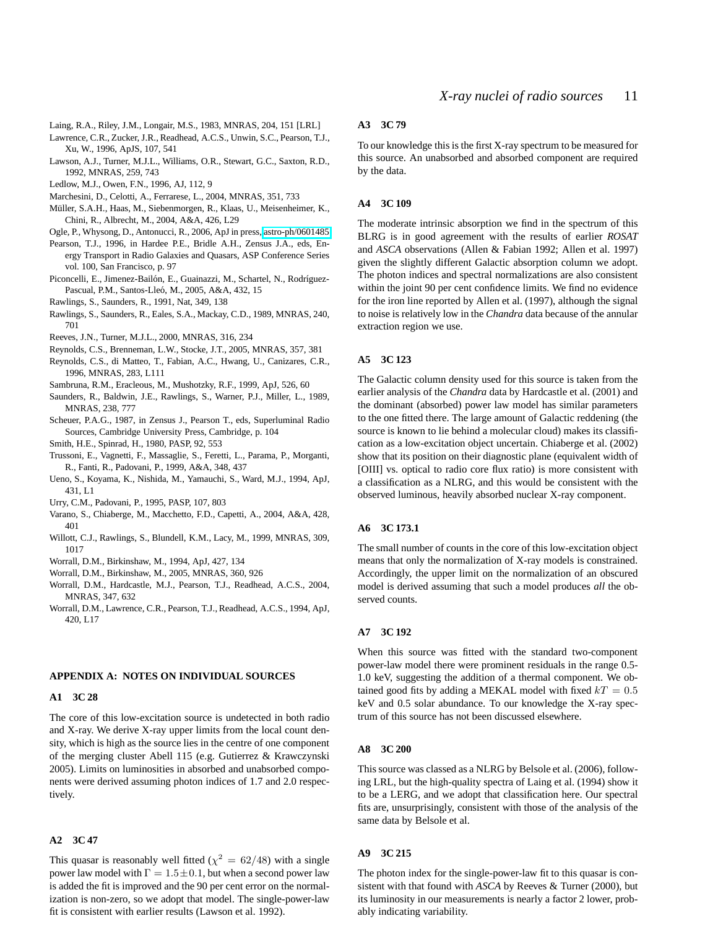Laing, R.A., Riley, J.M., Longair, M.S., 1983, MNRAS, 204, 151 [LRL]

Lawrence, C.R., Zucker, J.R., Readhead, A.C.S., Unwin, S.C., Pearson, T.J., Xu, W., 1996, ApJS, 107, 541

Lawson, A.J., Turner, M.J.L., Williams, O.R., Stewart, G.C., Saxton, R.D., 1992, MNRAS, 259, 743

Ledlow, M.J., Owen, F.N., 1996, AJ, 112, 9

- Marchesini, D., Celotti, A., Ferrarese, L., 2004, MNRAS, 351, 733
- Müller, S.A.H., Haas, M., Siebenmorgen, R., Klaas, U., Meisenheimer, K., Chini, R., Albrecht, M., 2004, A&A, 426, L29

Ogle, P., Whysong, D., Antonucci, R., 2006, ApJ in press, [astro-ph/0601485](http://arxiv.org/abs/astro-ph/0601485)

- Pearson, T.J., 1996, in Hardee P.E., Bridle A.H., Zensus J.A., eds, Energy Transport in Radio Galaxies and Quasars, ASP Conference Series vol. 100, San Francisco, p. 97
- Piconcelli, E., Jimenez-Bailón, E., Guainazzi, M., Schartel, N., Rodríguez-Pascual, P.M., Santos-Lleó, M., 2005, A&A, 432, 15
- Rawlings, S., Saunders, R., 1991, Nat, 349, 138
- Rawlings, S., Saunders, R., Eales, S.A., Mackay, C.D., 1989, MNRAS, 240, 701
- Reeves, J.N., Turner, M.J.L., 2000, MNRAS, 316, 234
- Reynolds, C.S., Brenneman, L.W., Stocke, J.T., 2005, MNRAS, 357, 381
- Reynolds, C.S., di Matteo, T., Fabian, A.C., Hwang, U., Canizares, C.R., 1996, MNRAS, 283, L111
- Sambruna, R.M., Eracleous, M., Mushotzky, R.F., 1999, ApJ, 526, 60
- Saunders, R., Baldwin, J.E., Rawlings, S., Warner, P.J., Miller, L., 1989, MNRAS, 238, 777
- Scheuer, P.A.G., 1987, in Zensus J., Pearson T., eds, Superluminal Radio Sources, Cambridge University Press, Cambridge, p. 104
- Smith, H.E., Spinrad, H., 1980, PASP, 92, 553
- Trussoni, E., Vagnetti, F., Massaglie, S., Feretti, L., Parama, P., Morganti, R., Fanti, R., Padovani, P., 1999, A&A, 348, 437
- Ueno, S., Koyama, K., Nishida, M., Yamauchi, S., Ward, M.J., 1994, ApJ, 431, L1
- Urry, C.M., Padovani, P., 1995, PASP, 107, 803
- Varano, S., Chiaberge, M., Macchetto, F.D., Capetti, A., 2004, A&A, 428, 401
- Willott, C.J., Rawlings, S., Blundell, K.M., Lacy, M., 1999, MNRAS, 309, 1017
- Worrall, D.M., Birkinshaw, M., 1994, ApJ, 427, 134
- Worrall, D.M., Birkinshaw, M., 2005, MNRAS, 360, 926
- Worrall, D.M., Hardcastle, M.J., Pearson, T.J., Readhead, A.C.S., 2004, MNRAS, 347, 632
- Worrall, D.M., Lawrence, C.R., Pearson, T.J., Readhead, A.C.S., 1994, ApJ, 420, L17

# **APPENDIX A: NOTES ON INDIVIDUAL SOURCES**

# **A1 3C 28**

The core of this low-excitation source is undetected in both radio and X-ray. We derive X-ray upper limits from the local count density, which is high as the source lies in the centre of one component of the merging cluster Abell 115 (e.g. Gutierrez & Krawczynski 2005). Limits on luminosities in absorbed and unabsorbed components were derived assuming photon indices of 1.7 and 2.0 respectively.

#### **A2 3C 47**

This quasar is reasonably well fitted ( $\chi^2 = 62/48$ ) with a single power law model with  $\Gamma = 1.5 \pm 0.1$ , but when a second power law is added the fit is improved and the 90 per cent error on the normalization is non-zero, so we adopt that model. The single-power-law fit is consistent with earlier results (Lawson et al. 1992).

#### **A3 3C 79**

To our knowledge this is the first X-ray spectrum to be measured for this source. An unabsorbed and absorbed component are required by the data.

# **A4 3C 109**

The moderate intrinsic absorption we find in the spectrum of this BLRG is in good agreement with the results of earlier *ROSAT* and *ASCA* observations (Allen & Fabian 1992; Allen et al. 1997) given the slightly different Galactic absorption column we adopt. The photon indices and spectral normalizations are also consistent within the joint 90 per cent confidence limits. We find no evidence for the iron line reported by Allen et al. (1997), although the signal to noise is relatively low in the *Chandra* data because of the annular extraction region we use.

# <span id="page-10-0"></span>**A5 3C 123**

The Galactic column density used for this source is taken from the earlier analysis of the *Chandra* data by Hardcastle et al. (2001) and the dominant (absorbed) power law model has similar parameters to the one fitted there. The large amount of Galactic reddening (the source is known to lie behind a molecular cloud) makes its classification as a low-excitation object uncertain. Chiaberge et al. (2002) show that its position on their diagnostic plane (equivalent width of [OIII] vs. optical to radio core flux ratio) is more consistent with a classification as a NLRG, and this would be consistent with the observed luminous, heavily absorbed nuclear X-ray component.

#### **A6 3C 173.1**

The small number of counts in the core of this low-excitation object means that only the normalization of X-ray models is constrained. Accordingly, the upper limit on the normalization of an obscured model is derived assuming that such a model produces *all* the observed counts.

# **A7 3C 192**

When this source was fitted with the standard two-component power-law model there were prominent residuals in the range 0.5- 1.0 keV, suggesting the addition of a thermal component. We obtained good fits by adding a MEKAL model with fixed  $kT = 0.5$ keV and 0.5 solar abundance. To our knowledge the X-ray spectrum of this source has not been discussed elsewhere.

#### **A8 3C 200**

This source was classed as a NLRG by Belsole et al. (2006), following LRL, but the high-quality spectra of Laing et al. (1994) show it to be a LERG, and we adopt that classification here. Our spectral fits are, unsurprisingly, consistent with those of the analysis of the same data by Belsole et al.

#### **A9 3C 215**

The photon index for the single-power-law fit to this quasar is consistent with that found with *ASCA* by Reeves & Turner (2000), but its luminosity in our measurements is nearly a factor 2 lower, probably indicating variability.